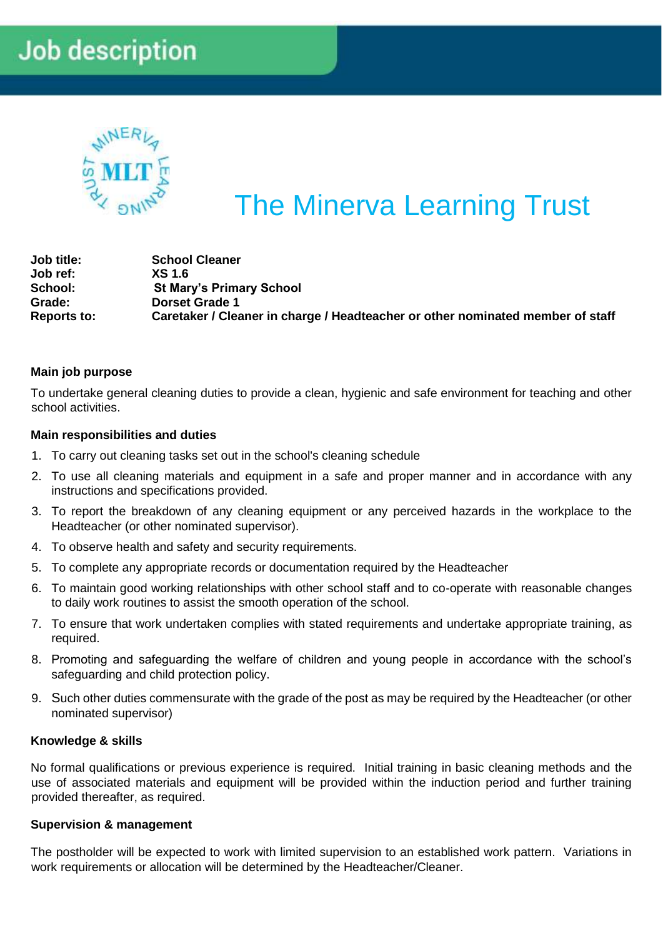# **Job description**



# The Minerva Learning Trust

| Job title:         | <b>School Cleaner</b>                                                          |
|--------------------|--------------------------------------------------------------------------------|
| Job ref:           | <b>XS 1.6</b>                                                                  |
| School:            | <b>St Mary's Primary School</b>                                                |
| Grade:             | <b>Dorset Grade 1</b>                                                          |
| <b>Reports to:</b> | Caretaker / Cleaner in charge / Headteacher or other nominated member of staff |

# **Main job purpose**

To undertake general cleaning duties to provide a clean, hygienic and safe environment for teaching and other school activities.

# **Main responsibilities and duties**

- 1. To carry out cleaning tasks set out in the school's cleaning schedule
- 2. To use all cleaning materials and equipment in a safe and proper manner and in accordance with any instructions and specifications provided.
- 3. To report the breakdown of any cleaning equipment or any perceived hazards in the workplace to the Headteacher (or other nominated supervisor).
- 4. To observe health and safety and security requirements.
- 5. To complete any appropriate records or documentation required by the Headteacher
- 6. To maintain good working relationships with other school staff and to co-operate with reasonable changes to daily work routines to assist the smooth operation of the school.
- 7. To ensure that work undertaken complies with stated requirements and undertake appropriate training, as required.
- 8. Promoting and safeguarding the welfare of children and young people in accordance with the school's safeguarding and child protection policy.
- 9. Such other duties commensurate with the grade of the post as may be required by the Headteacher (or other nominated supervisor)

#### **Knowledge & skills**

No formal qualifications or previous experience is required. Initial training in basic cleaning methods and the use of associated materials and equipment will be provided within the induction period and further training provided thereafter, as required.

#### **Supervision & management**

The postholder will be expected to work with limited supervision to an established work pattern. Variations in work requirements or allocation will be determined by the Headteacher/Cleaner.